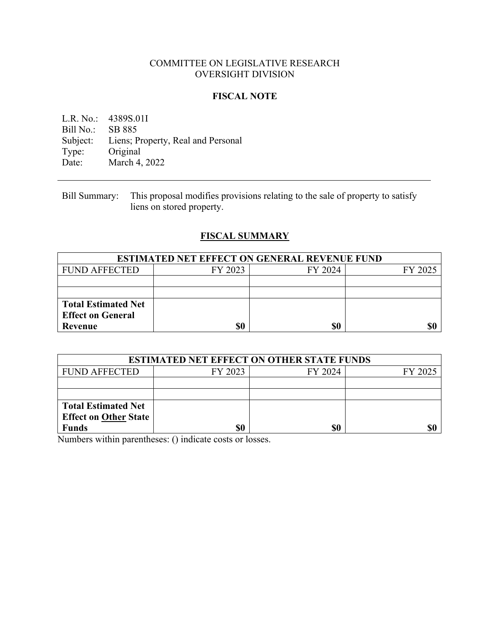### COMMITTEE ON LEGISLATIVE RESEARCH OVERSIGHT DIVISION

### **FISCAL NOTE**

L.R. No.: 4389S.01I<br>Bill No.: SB 885 Bill No.: Subject: Liens; Property, Real and Personal<br>Type: Original Type: Original<br>Date: March 4. March 4, 2022

Bill Summary: This proposal modifies provisions relating to the sale of property to satisfy liens on stored property.

# **FISCAL SUMMARY**

| <b>ESTIMATED NET EFFECT ON GENERAL REVENUE FUND</b> |         |         |         |  |
|-----------------------------------------------------|---------|---------|---------|--|
| <b>FUND AFFECTED</b>                                | FY 2023 | FY 2024 | FY 2025 |  |
|                                                     |         |         |         |  |
|                                                     |         |         |         |  |
| <b>Total Estimated Net</b>                          |         |         |         |  |
| <b>Effect on General</b>                            |         |         |         |  |
| Revenue                                             | \$0     | \$0     | \$(     |  |

| <b>ESTIMATED NET EFFECT ON OTHER STATE FUNDS</b> |         |         |         |  |  |
|--------------------------------------------------|---------|---------|---------|--|--|
| <b>FUND AFFECTED</b>                             | FY 2023 | FY 2024 | FY 2025 |  |  |
|                                                  |         |         |         |  |  |
|                                                  |         |         |         |  |  |
| <b>Total Estimated Net</b>                       |         |         |         |  |  |
| <b>Effect on Other State</b>                     |         |         |         |  |  |
| <b>Funds</b>                                     |         | \$0     | \$1     |  |  |

Numbers within parentheses: () indicate costs or losses.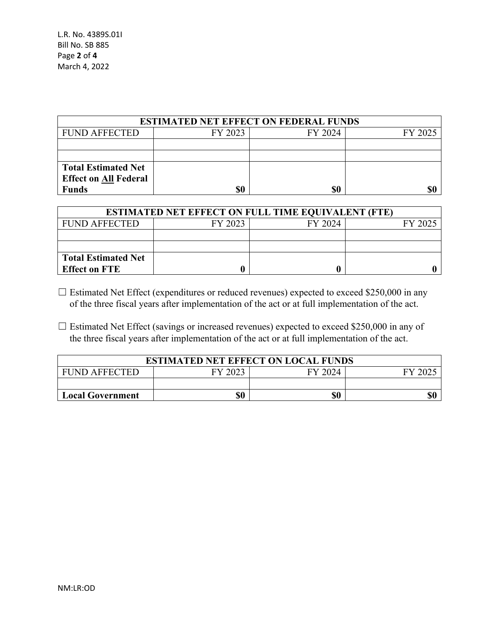| <b>ESTIMATED NET EFFECT ON FEDERAL FUNDS</b> |         |         |         |  |  |
|----------------------------------------------|---------|---------|---------|--|--|
| <b>FUND AFFECTED</b>                         | FY 2023 | FY 2024 | FY 2025 |  |  |
|                                              |         |         |         |  |  |
|                                              |         |         |         |  |  |
| <b>Total Estimated Net</b>                   |         |         |         |  |  |
| <b>Effect on All Federal</b>                 |         |         |         |  |  |
| <b>Funds</b>                                 | \$0     | \$0     |         |  |  |

| <b>ESTIMATED NET EFFECT ON FULL TIME EQUIVALENT (FTE)</b> |         |         |         |  |
|-----------------------------------------------------------|---------|---------|---------|--|
| <b>FUND AFFECTED</b>                                      | FY 2023 | FY 2024 | FY 2025 |  |
|                                                           |         |         |         |  |
|                                                           |         |         |         |  |
| <b>Total Estimated Net</b>                                |         |         |         |  |
| <b>Effect on FTE</b>                                      |         |         |         |  |

 $\Box$  Estimated Net Effect (expenditures or reduced revenues) expected to exceed \$250,000 in any of the three fiscal years after implementation of the act or at full implementation of the act.

 $\Box$  Estimated Net Effect (savings or increased revenues) expected to exceed \$250,000 in any of the three fiscal years after implementation of the act or at full implementation of the act.

| <b>ESTIMATED NET EFFECT ON LOCAL FUNDS</b> |         |         |               |  |
|--------------------------------------------|---------|---------|---------------|--|
| <b>FUND AFFECTED</b>                       | FY 2023 | FY 2024 | $FY$ 20 $2$ . |  |
|                                            |         |         |               |  |
| <b>Local Government</b>                    | \$0     | \$0     |               |  |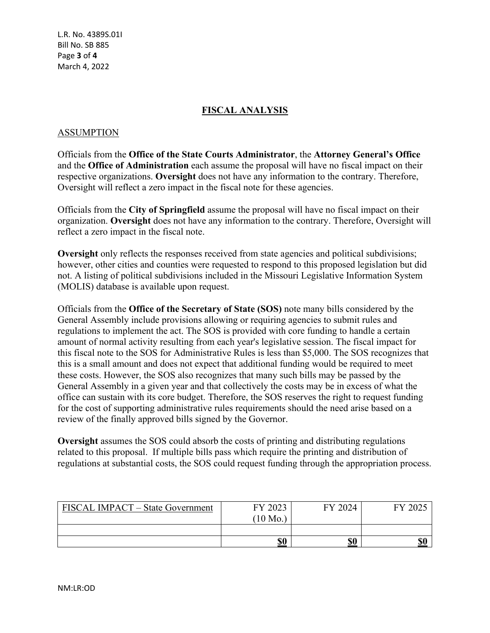L.R. No. 4389S.01I Bill No. SB 885 Page **3** of **4** March 4, 2022

## **FISCAL ANALYSIS**

#### ASSUMPTION

Officials from the **Office of the State Courts Administrator**, the **Attorney General's Office** and the **Office of Administration** each assume the proposal will have no fiscal impact on their respective organizations. **Oversight** does not have any information to the contrary. Therefore, Oversight will reflect a zero impact in the fiscal note for these agencies.

Officials from the **City of Springfield** assume the proposal will have no fiscal impact on their organization. **Oversight** does not have any information to the contrary. Therefore, Oversight will reflect a zero impact in the fiscal note.

**Oversight** only reflects the responses received from state agencies and political subdivisions; however, other cities and counties were requested to respond to this proposed legislation but did not. A listing of political subdivisions included in the Missouri Legislative Information System (MOLIS) database is available upon request.

Officials from the **Office of the Secretary of State (SOS)** note many bills considered by the General Assembly include provisions allowing or requiring agencies to submit rules and regulations to implement the act. The SOS is provided with core funding to handle a certain amount of normal activity resulting from each year's legislative session. The fiscal impact for this fiscal note to the SOS for Administrative Rules is less than \$5,000. The SOS recognizes that this is a small amount and does not expect that additional funding would be required to meet these costs. However, the SOS also recognizes that many such bills may be passed by the General Assembly in a given year and that collectively the costs may be in excess of what the office can sustain with its core budget. Therefore, the SOS reserves the right to request funding for the cost of supporting administrative rules requirements should the need arise based on a review of the finally approved bills signed by the Governor.

**Oversight** assumes the SOS could absorb the costs of printing and distributing regulations related to this proposal. If multiple bills pass which require the printing and distribution of regulations at substantial costs, the SOS could request funding through the appropriation process.

| FISCAL IMPACT - State Government | FY 2023            | FY 2024 | ${\rm F}{\rm V}$ |
|----------------------------------|--------------------|---------|------------------|
|                                  | $(10 \text{ Mo.})$ |         |                  |
|                                  |                    |         |                  |
|                                  | \$0                | \$0     | \$0              |